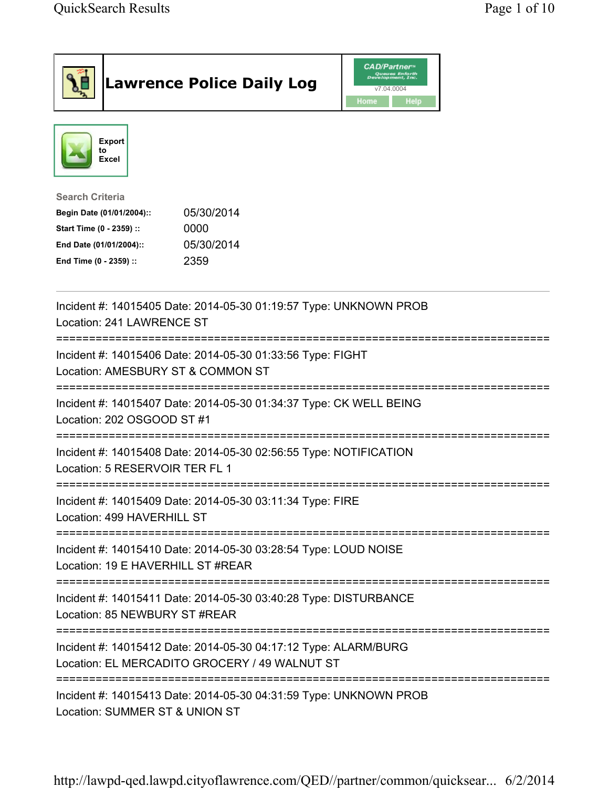|                                                                                                                                                      | <b>Lawrence Police Daily Log</b> | <b>CAD/Partner</b> ®<br>Queues Enforth<br>Development, Inc.<br>v7.04.0004<br>Home<br>Help |  |
|------------------------------------------------------------------------------------------------------------------------------------------------------|----------------------------------|-------------------------------------------------------------------------------------------|--|
| <b>Export</b><br>to<br>Excel                                                                                                                         |                                  |                                                                                           |  |
| <b>Search Criteria</b><br>Begin Date (01/01/2004)::<br>Start Time (0 - 2359) ::<br>0000<br>End Date (01/01/2004)::<br>End Time (0 - 2359) ::<br>2359 | 05/30/2014<br>05/30/2014         |                                                                                           |  |
| Incident #: 14015405 Date: 2014-05-30 01:19:57 Type: UNKNOWN PROB<br>Location: 241 LAWRENCE ST                                                       |                                  |                                                                                           |  |
| Incident #: 14015406 Date: 2014-05-30 01:33:56 Type: FIGHT<br>Location: AMESBURY ST & COMMON ST                                                      |                                  |                                                                                           |  |
| Incident #: 14015407 Date: 2014-05-30 01:34:37 Type: CK WELL BEING<br>Location: 202 OSGOOD ST #1                                                     |                                  |                                                                                           |  |
| Incident #: 14015408 Date: 2014-05-30 02:56:55 Type: NOTIFICATION<br>Location: 5 RESERVOIR TER FL 1                                                  |                                  |                                                                                           |  |
| Incident #: 14015409 Date: 2014-05-30 03:11:34 Type: FIRE<br>Location: 499 HAVERHILL ST                                                              |                                  |                                                                                           |  |
| Incident #: 14015410 Date: 2014-05-30 03:28:54 Type: LOUD NOISE<br>Location: 19 E HAVERHILL ST #REAR                                                 |                                  |                                                                                           |  |
| Incident #: 14015411 Date: 2014-05-30 03:40:28 Type: DISTURBANCE<br>Location: 85 NEWBURY ST #REAR                                                    |                                  |                                                                                           |  |
| Incident #: 14015412 Date: 2014-05-30 04:17:12 Type: ALARM/BURG<br>Location: EL MERCADITO GROCERY / 49 WALNUT ST                                     |                                  |                                                                                           |  |
| Incident #: 14015413 Date: 2014-05-30 04:31:59 Type: UNKNOWN PROB<br>Location: SUMMER ST & UNION ST                                                  |                                  |                                                                                           |  |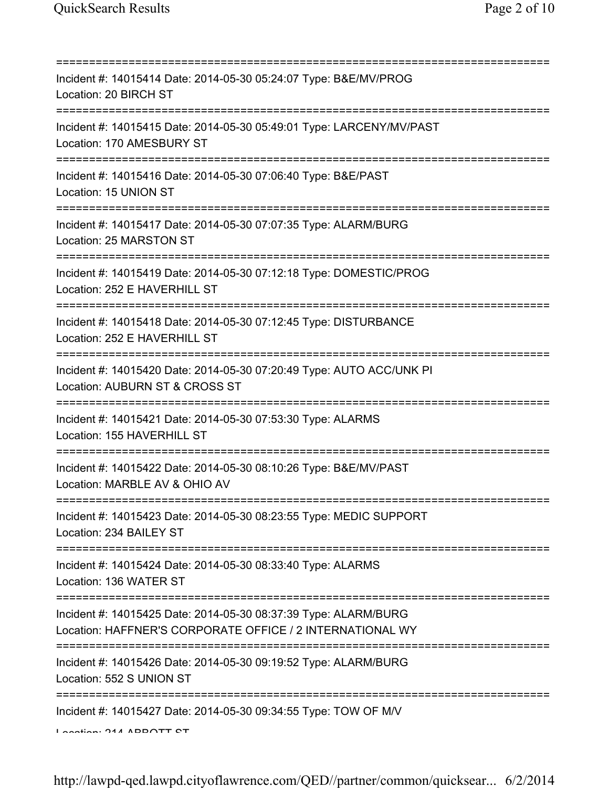| Incident #: 14015414 Date: 2014-05-30 05:24:07 Type: B&E/MV/PROG<br>Location: 20 BIRCH ST                                                   |
|---------------------------------------------------------------------------------------------------------------------------------------------|
| Incident #: 14015415 Date: 2014-05-30 05:49:01 Type: LARCENY/MV/PAST<br>Location: 170 AMESBURY ST<br>======================                 |
| Incident #: 14015416 Date: 2014-05-30 07:06:40 Type: B&E/PAST<br>Location: 15 UNION ST                                                      |
| Incident #: 14015417 Date: 2014-05-30 07:07:35 Type: ALARM/BURG<br>Location: 25 MARSTON ST<br>====================================          |
| Incident #: 14015419 Date: 2014-05-30 07:12:18 Type: DOMESTIC/PROG<br>Location: 252 E HAVERHILL ST<br>===================================== |
| Incident #: 14015418 Date: 2014-05-30 07:12:45 Type: DISTURBANCE<br>Location: 252 E HAVERHILL ST<br>-------------------------------------   |
| Incident #: 14015420 Date: 2014-05-30 07:20:49 Type: AUTO ACC/UNK PI<br>Location: AUBURN ST & CROSS ST                                      |
| Incident #: 14015421 Date: 2014-05-30 07:53:30 Type: ALARMS<br>Location: 155 HAVERHILL ST                                                   |
| Incident #: 14015422 Date: 2014-05-30 08:10:26 Type: B&E/MV/PAST<br>Location: MARBLE AV & OHIO AV                                           |
| Incident #: 14015423 Date: 2014-05-30 08:23:55 Type: MEDIC SUPPORT<br>Location: 234 BAILEY ST                                               |
| ===========================<br>Incident #: 14015424 Date: 2014-05-30 08:33:40 Type: ALARMS<br>Location: 136 WATER ST                        |
| Incident #: 14015425 Date: 2014-05-30 08:37:39 Type: ALARM/BURG<br>Location: HAFFNER'S CORPORATE OFFICE / 2 INTERNATIONAL WY                |
| Incident #: 14015426 Date: 2014-05-30 09:19:52 Type: ALARM/BURG<br>Location: 552 S UNION ST                                                 |
| Incident #: 14015427 Date: 2014-05-30 09:34:55 Type: TOW OF M/V<br>A                                                                        |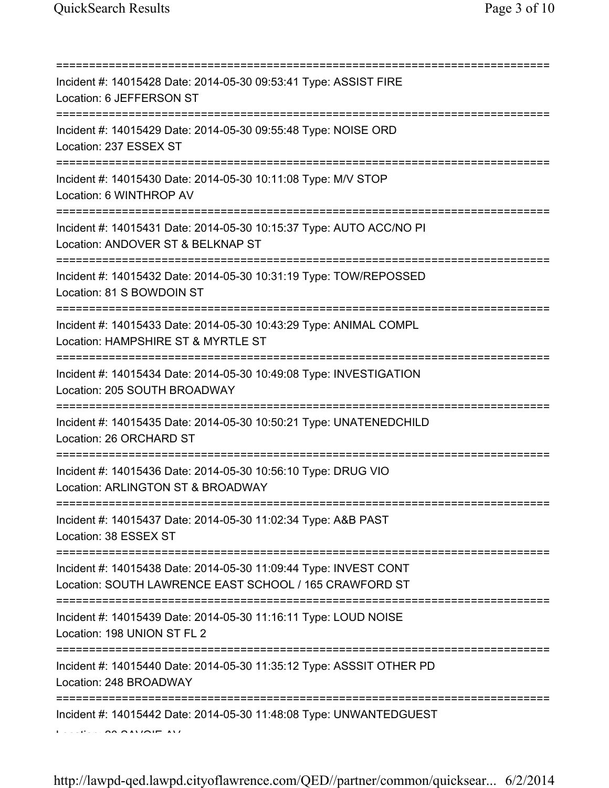| Incident #: 14015428 Date: 2014-05-30 09:53:41 Type: ASSIST FIRE<br>Location: 6 JEFFERSON ST<br>===================================== |
|---------------------------------------------------------------------------------------------------------------------------------------|
| Incident #: 14015429 Date: 2014-05-30 09:55:48 Type: NOISE ORD<br>Location: 237 ESSEX ST                                              |
| Incident #: 14015430 Date: 2014-05-30 10:11:08 Type: M/V STOP<br>Location: 6 WINTHROP AV                                              |
| Incident #: 14015431 Date: 2014-05-30 10:15:37 Type: AUTO ACC/NO PI<br>Location: ANDOVER ST & BELKNAP ST                              |
| Incident #: 14015432 Date: 2014-05-30 10:31:19 Type: TOW/REPOSSED<br>Location: 81 S BOWDOIN ST                                        |
| Incident #: 14015433 Date: 2014-05-30 10:43:29 Type: ANIMAL COMPL<br>Location: HAMPSHIRE ST & MYRTLE ST                               |
| Incident #: 14015434 Date: 2014-05-30 10:49:08 Type: INVESTIGATION<br>Location: 205 SOUTH BROADWAY                                    |
| Incident #: 14015435 Date: 2014-05-30 10:50:21 Type: UNATENEDCHILD<br>Location: 26 ORCHARD ST                                         |
| Incident #: 14015436 Date: 2014-05-30 10:56:10 Type: DRUG VIO<br>Location: ARLINGTON ST & BROADWAY                                    |
| Incident #: 14015437 Date: 2014-05-30 11:02:34 Type: A&B PAST<br>Location: 38 ESSEX ST                                                |
| Incident #: 14015438 Date: 2014-05-30 11:09:44 Type: INVEST CONT<br>Location: SOUTH LAWRENCE EAST SCHOOL / 165 CRAWFORD ST            |
| Incident #: 14015439 Date: 2014-05-30 11:16:11 Type: LOUD NOISE<br>Location: 198 UNION ST FL 2                                        |
| Incident #: 14015440 Date: 2014-05-30 11:35:12 Type: ASSSIT OTHER PD<br>Location: 248 BROADWAY                                        |
| Incident #: 14015442 Date: 2014-05-30 11:48:08 Type: UNWANTEDGUEST                                                                    |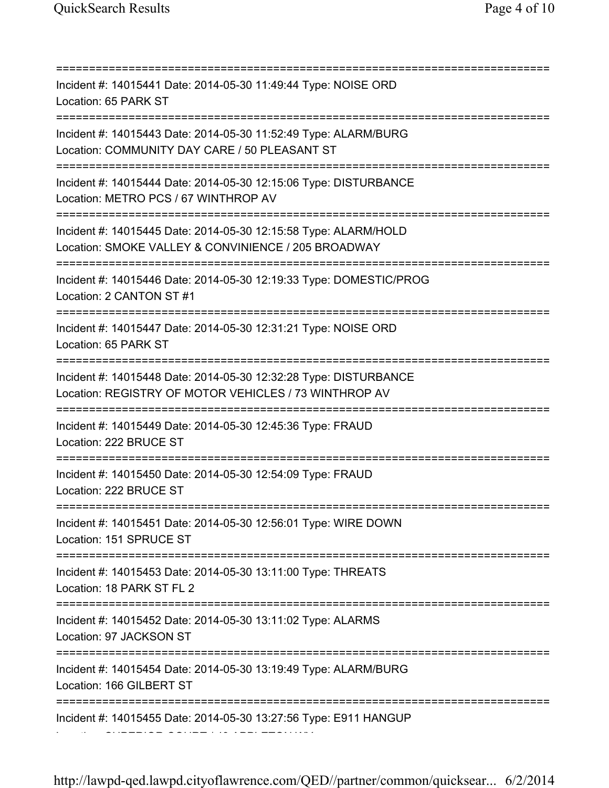=========================================================================== Incident #: 14015441 Date: 2014-05-30 11:49:44 Type: NOISE ORD Location: 65 PARK ST =========================================================================== Incident #: 14015443 Date: 2014-05-30 11:52:49 Type: ALARM/BURG Location: COMMUNITY DAY CARE / 50 PLEASANT ST =========================================================================== Incident #: 14015444 Date: 2014-05-30 12:15:06 Type: DISTURBANCE Location: METRO PCS / 67 WINTHROP AV =========================================================================== Incident #: 14015445 Date: 2014-05-30 12:15:58 Type: ALARM/HOLD Location: SMOKE VALLEY & CONVINIENCE / 205 BROADWAY =========================================================================== Incident #: 14015446 Date: 2014-05-30 12:19:33 Type: DOMESTIC/PROG Location: 2 CANTON ST #1 =========================================================================== Incident #: 14015447 Date: 2014-05-30 12:31:21 Type: NOISE ORD Location: 65 PARK ST =========================================================================== Incident #: 14015448 Date: 2014-05-30 12:32:28 Type: DISTURBANCE Location: REGISTRY OF MOTOR VEHICLES / 73 WINTHROP AV =========================================================================== Incident #: 14015449 Date: 2014-05-30 12:45:36 Type: FRAUD Location: 222 BRUCE ST =========================================================================== Incident #: 14015450 Date: 2014-05-30 12:54:09 Type: FRAUD Location: 222 BRUCE ST =========================================================================== Incident #: 14015451 Date: 2014-05-30 12:56:01 Type: WIRE DOWN Location: 151 SPRUCE ST =========================================================================== Incident #: 14015453 Date: 2014-05-30 13:11:00 Type: THREATS Location: 18 PARK ST FL 2 =========================================================================== Incident #: 14015452 Date: 2014-05-30 13:11:02 Type: ALARMS Location: 97 JACKSON ST =========================================================================== Incident #: 14015454 Date: 2014-05-30 13:19:49 Type: ALARM/BURG Location: 166 GILBERT ST =========================================================================== Incident #: 14015455 Date: 2014-05-30 13:27:56 Type: E911 HANGUP Location: SUPERIOR COURT / 43 APPLETON WY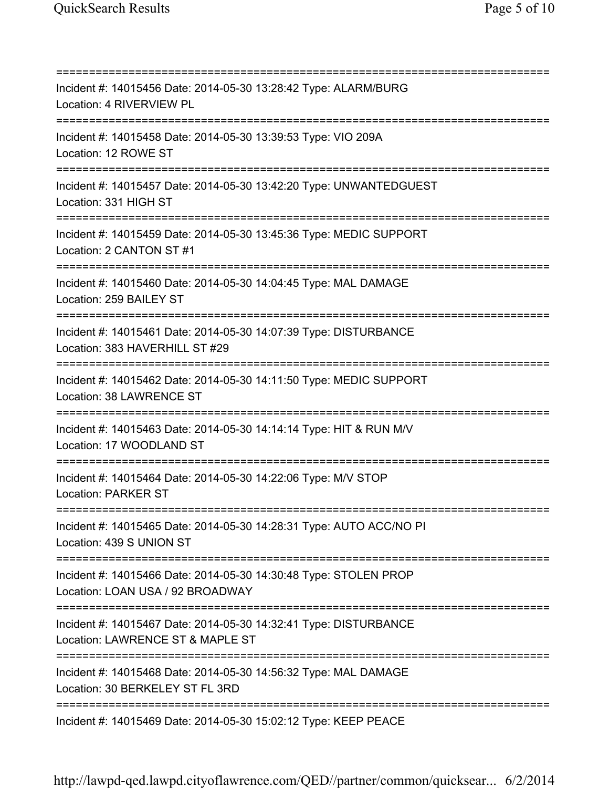=========================================================================== Incident #: 14015456 Date: 2014-05-30 13:28:42 Type: ALARM/BURG Location: 4 RIVERVIEW PL =========================================================================== Incident #: 14015458 Date: 2014-05-30 13:39:53 Type: VIO 209A Location: 12 ROWE ST =========================================================================== Incident #: 14015457 Date: 2014-05-30 13:42:20 Type: UNWANTEDGUEST Location: 331 HIGH ST =========================================================================== Incident #: 14015459 Date: 2014-05-30 13:45:36 Type: MEDIC SUPPORT Location: 2 CANTON ST #1 =========================================================================== Incident #: 14015460 Date: 2014-05-30 14:04:45 Type: MAL DAMAGE Location: 259 BAILEY ST =========================================================================== Incident #: 14015461 Date: 2014-05-30 14:07:39 Type: DISTURBANCE Location: 383 HAVERHILL ST #29 =========================================================================== Incident #: 14015462 Date: 2014-05-30 14:11:50 Type: MEDIC SUPPORT Location: 38 LAWRENCE ST =========================================================================== Incident #: 14015463 Date: 2014-05-30 14:14:14 Type: HIT & RUN M/V Location: 17 WOODLAND ST =========================================================================== Incident #: 14015464 Date: 2014-05-30 14:22:06 Type: M/V STOP Location: PARKER ST =========================================================================== Incident #: 14015465 Date: 2014-05-30 14:28:31 Type: AUTO ACC/NO PI Location: 439 S UNION ST =========================================================================== Incident #: 14015466 Date: 2014-05-30 14:30:48 Type: STOLEN PROP Location: LOAN USA / 92 BROADWAY =========================================================================== Incident #: 14015467 Date: 2014-05-30 14:32:41 Type: DISTURBANCE Location: LAWRENCE ST & MAPLE ST =========================================================================== Incident #: 14015468 Date: 2014-05-30 14:56:32 Type: MAL DAMAGE Location: 30 BERKELEY ST FL 3RD =========================================================================== Incident #: 14015469 Date: 2014-05-30 15:02:12 Type: KEEP PEACE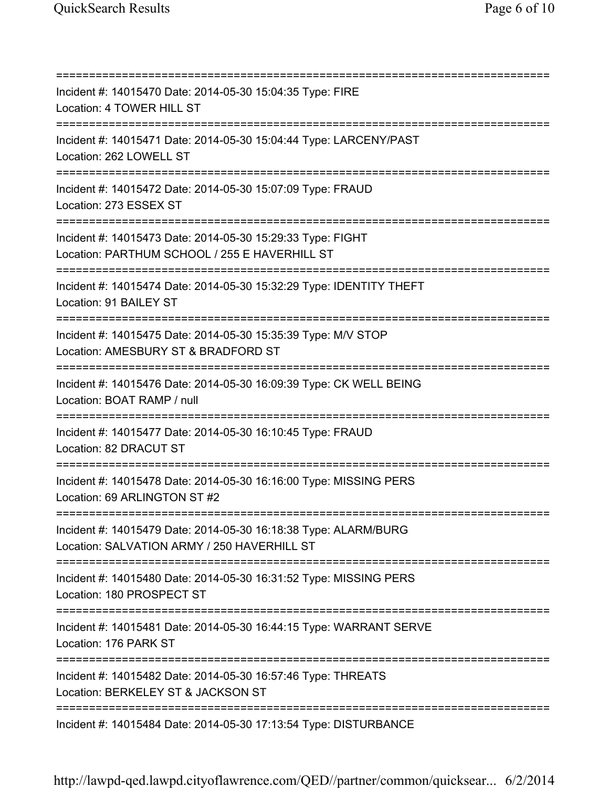| Incident #: 14015470 Date: 2014-05-30 15:04:35 Type: FIRE<br>Location: 4 TOWER HILL ST                                          |
|---------------------------------------------------------------------------------------------------------------------------------|
| Incident #: 14015471 Date: 2014-05-30 15:04:44 Type: LARCENY/PAST<br>Location: 262 LOWELL ST                                    |
| Incident #: 14015472 Date: 2014-05-30 15:07:09 Type: FRAUD<br>Location: 273 ESSEX ST                                            |
| Incident #: 14015473 Date: 2014-05-30 15:29:33 Type: FIGHT<br>Location: PARTHUM SCHOOL / 255 E HAVERHILL ST                     |
| Incident #: 14015474 Date: 2014-05-30 15:32:29 Type: IDENTITY THEFT<br>Location: 91 BAILEY ST                                   |
| Incident #: 14015475 Date: 2014-05-30 15:35:39 Type: M/V STOP<br>Location: AMESBURY ST & BRADFORD ST<br>======================= |
| Incident #: 14015476 Date: 2014-05-30 16:09:39 Type: CK WELL BEING<br>Location: BOAT RAMP / null                                |
| Incident #: 14015477 Date: 2014-05-30 16:10:45 Type: FRAUD<br>Location: 82 DRACUT ST                                            |
| Incident #: 14015478 Date: 2014-05-30 16:16:00 Type: MISSING PERS<br>Location: 69 ARLINGTON ST #2                               |
| Incident #: 14015479 Date: 2014-05-30 16:18:38 Type: ALARM/BURG<br>Location: SALVATION ARMY / 250 HAVERHILL ST                  |
| Incident #: 14015480 Date: 2014-05-30 16:31:52 Type: MISSING PERS<br>Location: 180 PROSPECT ST                                  |
| Incident #: 14015481 Date: 2014-05-30 16:44:15 Type: WARRANT SERVE<br>Location: 176 PARK ST                                     |
| Incident #: 14015482 Date: 2014-05-30 16:57:46 Type: THREATS<br>Location: BERKELEY ST & JACKSON ST                              |
| Incident #: 14015484 Date: 2014-05-30 17:13:54 Type: DISTURBANCE                                                                |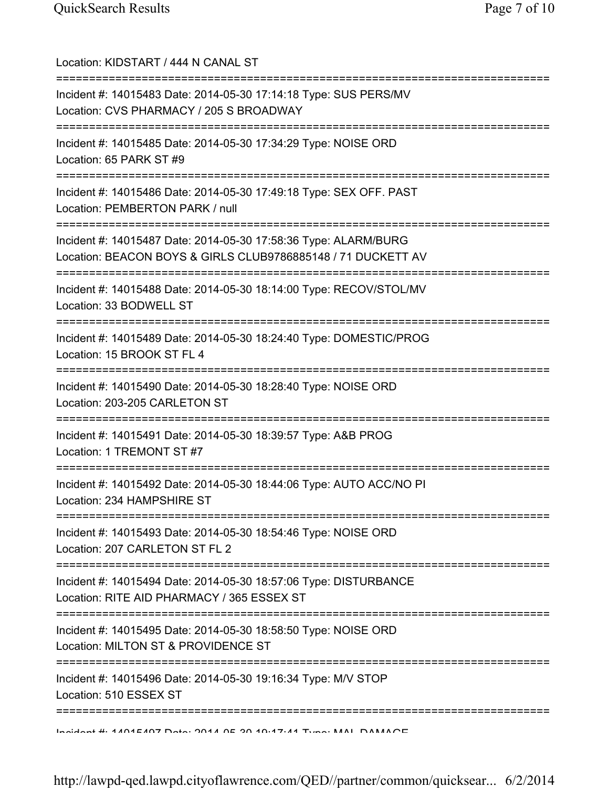| Location: KIDSTART / 444 N CANAL ST                                                                                             |
|---------------------------------------------------------------------------------------------------------------------------------|
| Incident #: 14015483 Date: 2014-05-30 17:14:18 Type: SUS PERS/MV<br>Location: CVS PHARMACY / 205 S BROADWAY                     |
| Incident #: 14015485 Date: 2014-05-30 17:34:29 Type: NOISE ORD<br>Location: 65 PARK ST #9                                       |
| Incident #: 14015486 Date: 2014-05-30 17:49:18 Type: SEX OFF. PAST<br>Location: PEMBERTON PARK / null                           |
| Incident #: 14015487 Date: 2014-05-30 17:58:36 Type: ALARM/BURG<br>Location: BEACON BOYS & GIRLS CLUB9786885148 / 71 DUCKETT AV |
| Incident #: 14015488 Date: 2014-05-30 18:14:00 Type: RECOV/STOL/MV<br>Location: 33 BODWELL ST                                   |
| Incident #: 14015489 Date: 2014-05-30 18:24:40 Type: DOMESTIC/PROG<br>Location: 15 BROOK ST FL 4                                |
| Incident #: 14015490 Date: 2014-05-30 18:28:40 Type: NOISE ORD<br>Location: 203-205 CARLETON ST                                 |
| Incident #: 14015491 Date: 2014-05-30 18:39:57 Type: A&B PROG<br>Location: 1 TREMONT ST #7                                      |
| Incident #: 14015492 Date: 2014-05-30 18:44:06 Type: AUTO ACC/NO PI<br>Location: 234 HAMPSHIRE ST                               |
| Incident #: 14015493 Date: 2014-05-30 18:54:46 Type: NOISE ORD<br>Location: 207 CARLETON ST FL 2                                |
| Incident #: 14015494 Date: 2014-05-30 18:57:06 Type: DISTURBANCE<br>Location: RITE AID PHARMACY / 365 ESSEX ST                  |
| Incident #: 14015495 Date: 2014-05-30 18:58:50 Type: NOISE ORD<br>Location: MILTON ST & PROVIDENCE ST                           |
| Incident #: 14015496 Date: 2014-05-30 19:16:34 Type: M/V STOP<br>Location: 510 ESSEX ST                                         |
| Incident #: 1101E107 Deta: 2014 OE 20 10:17:11 Tune: MAN DAMANOE                                                                |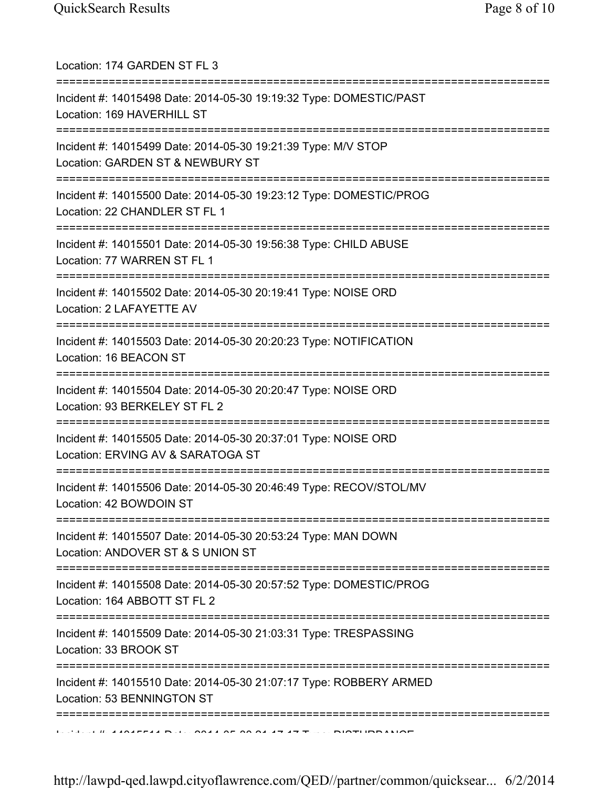| Location: 174 GARDEN ST FL 3<br>=================================                                                                         |
|-------------------------------------------------------------------------------------------------------------------------------------------|
| Incident #: 14015498 Date: 2014-05-30 19:19:32 Type: DOMESTIC/PAST<br>Location: 169 HAVERHILL ST<br>===================================== |
| Incident #: 14015499 Date: 2014-05-30 19:21:39 Type: M/V STOP<br>Location: GARDEN ST & NEWBURY ST<br>=========================            |
| Incident #: 14015500 Date: 2014-05-30 19:23:12 Type: DOMESTIC/PROG<br>Location: 22 CHANDLER ST FL 1                                       |
| Incident #: 14015501 Date: 2014-05-30 19:56:38 Type: CHILD ABUSE<br>Location: 77 WARREN ST FL 1                                           |
| ======================================<br>Incident #: 14015502 Date: 2014-05-30 20:19:41 Type: NOISE ORD<br>Location: 2 LAFAYETTE AV      |
| Incident #: 14015503 Date: 2014-05-30 20:20:23 Type: NOTIFICATION<br>Location: 16 BEACON ST                                               |
| Incident #: 14015504 Date: 2014-05-30 20:20:47 Type: NOISE ORD<br>Location: 93 BERKELEY ST FL 2                                           |
| Incident #: 14015505 Date: 2014-05-30 20:37:01 Type: NOISE ORD<br>Location: ERVING AV & SARATOGA ST                                       |
| Incident #: 14015506 Date: 2014-05-30 20:46:49 Type: RECOV/STOL/MV<br>Location: 42 BOWDOIN ST<br>=====================================    |
| Incident #: 14015507 Date: 2014-05-30 20:53:24 Type: MAN DOWN<br>Location: ANDOVER ST & S UNION ST                                        |
| ======================<br>Incident #: 14015508 Date: 2014-05-30 20:57:52 Type: DOMESTIC/PROG<br>Location: 164 ABBOTT ST FL 2              |
| Incident #: 14015509 Date: 2014-05-30 21:03:31 Type: TRESPASSING<br>Location: 33 BROOK ST                                                 |
| Incident #: 14015510 Date: 2014-05-30 21:07:17 Type: ROBBERY ARMED<br>Location: 53 BENNINGTON ST                                          |
| =======================                                                                                                                   |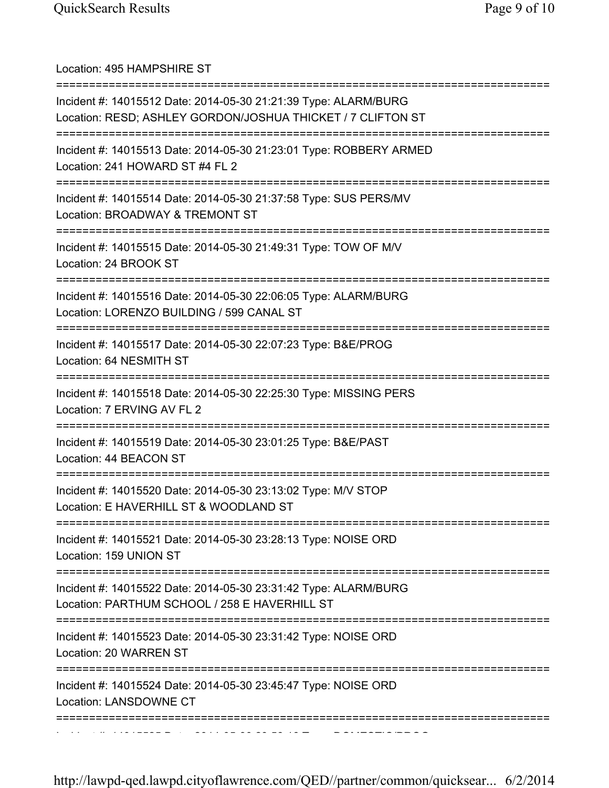| Location: 495 HAMPSHIRE ST                                                                                                                                   |
|--------------------------------------------------------------------------------------------------------------------------------------------------------------|
| Incident #: 14015512 Date: 2014-05-30 21:21:39 Type: ALARM/BURG<br>Location: RESD; ASHLEY GORDON/JOSHUA THICKET / 7 CLIFTON ST<br>========================== |
| Incident #: 14015513 Date: 2014-05-30 21:23:01 Type: ROBBERY ARMED<br>Location: 241 HOWARD ST #4 FL 2                                                        |
| Incident #: 14015514 Date: 2014-05-30 21:37:58 Type: SUS PERS/MV<br>Location: BROADWAY & TREMONT ST                                                          |
| Incident #: 14015515 Date: 2014-05-30 21:49:31 Type: TOW OF M/V<br>Location: 24 BROOK ST                                                                     |
| Incident #: 14015516 Date: 2014-05-30 22:06:05 Type: ALARM/BURG<br>Location: LORENZO BUILDING / 599 CANAL ST                                                 |
| ;==================================<br>Incident #: 14015517 Date: 2014-05-30 22:07:23 Type: B&E/PROG<br>Location: 64 NESMITH ST                              |
| Incident #: 14015518 Date: 2014-05-30 22:25:30 Type: MISSING PERS<br>Location: 7 ERVING AV FL 2                                                              |
| Incident #: 14015519 Date: 2014-05-30 23:01:25 Type: B&E/PAST<br>Location: 44 BEACON ST                                                                      |
| Incident #: 14015520 Date: 2014-05-30 23:13:02 Type: M/V STOP<br>Location: E HAVERHILL ST & WOODLAND ST                                                      |
| Incident #: 14015521 Date: 2014-05-30 23:28:13 Type: NOISE ORD<br>Location: 159 UNION ST                                                                     |
| Incident #: 14015522 Date: 2014-05-30 23:31:42 Type: ALARM/BURG<br>Location: PARTHUM SCHOOL / 258 E HAVERHILL ST                                             |
| Incident #: 14015523 Date: 2014-05-30 23:31:42 Type: NOISE ORD<br>Location: 20 WARREN ST                                                                     |
| Incident #: 14015524 Date: 2014-05-30 23:45:47 Type: NOISE ORD<br>Location: LANSDOWNE CT                                                                     |
|                                                                                                                                                              |

Incident #: 14015525 Date: 2014 05 30 23:58:16 Type: DOMESTIC/PROG